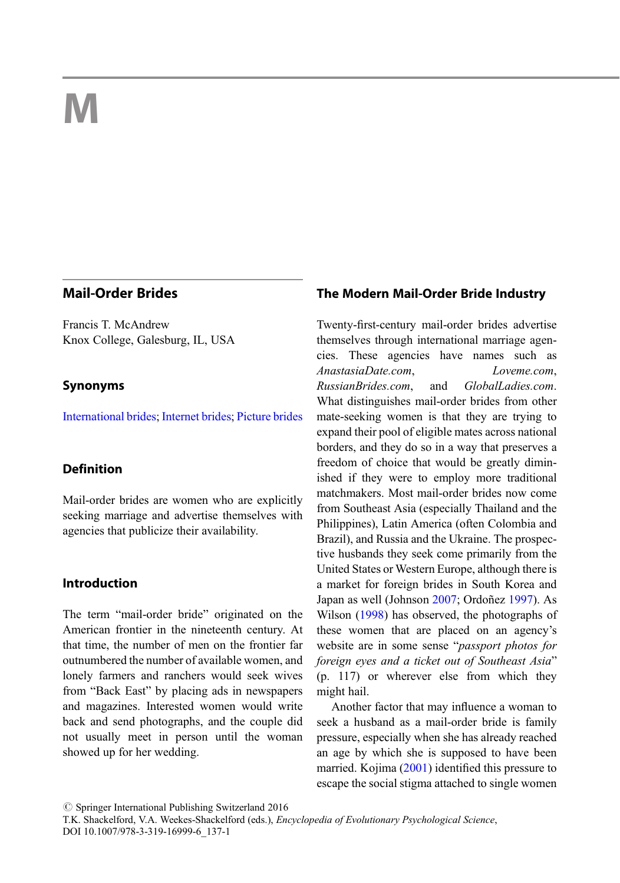# M

## Mail-Order Brides

Francis T. McAndrew Knox College, Galesburg, IL, USA

#### Synonyms

[International brides](http://link.springer.com/International brides); [Internet brides](http://link.springer.com/Internet brides); [Picture brides](http://link.springer.com/Picture brides)

## Definition

Mail-order brides are women who are explicitly seeking marriage and advertise themselves with agencies that publicize their availability.

#### Introduction

The term "mail-order bride" originated on the American frontier in the nineteenth century. At that time, the number of men on the frontier far outnumbered the number of available women, and lonely farmers and ranchers would seek wives from "Back East" by placing ads in newspapers and magazines. Interested women would write back and send photographs, and the couple did not usually meet in person until the woman showed up for her wedding.

## The Modern Mail-Order Bride Industry

Twenty-first-century mail-order brides advertise themselves through international marriage agencies. These agencies have names such as AnastasiaDate.com, Loveme.com, RussianBrides.com, and GlobalLadies.com. What distinguishes mail-order brides from other mate-seeking women is that they are trying to expand their pool of eligible mates across national borders, and they do so in a way that preserves a freedom of choice that would be greatly diminished if they were to employ more traditional matchmakers. Most mail-order brides now come from Southeast Asia (especially Thailand and the Philippines), Latin America (often Colombia and Brazil), and Russia and the Ukraine. The prospective husbands they seek come primarily from the United States or Western Europe, although there is a market for foreign brides in South Korea and Japan as well (Johnson [2007](#page-2-0); Ordoñez [1997](#page-2-0)). As Wilson ([1998\)](#page-2-0) has observed, the photographs of these women that are placed on an agency's website are in some sense "passport photos for foreign eyes and a ticket out of Southeast Asia" (p. 117) or wherever else from which they might hail.

Another factor that may influence a woman to seek a husband as a mail-order bride is family pressure, especially when she has already reached an age by which she is supposed to have been married. Kojima ([2001\)](#page-2-0) identified this pressure to escape the social stigma attached to single women

 $\odot$  Springer International Publishing Switzerland 2016

T.K. Shackelford, V.A. Weekes-Shackelford (eds.), Encyclopedia of Evolutionary Psychological Science, DOI 10.1007/978-3-319-16999-6\_137-1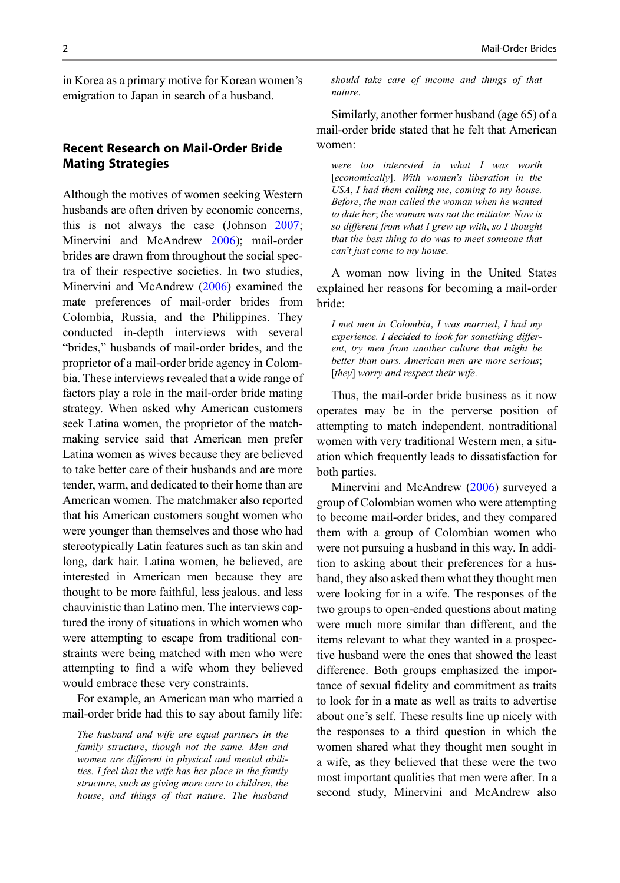in Korea as a primary motive for Korean women's emigration to Japan in search of a husband.

## Recent Research on Mail-Order Bride Mating Strategies

Although the motives of women seeking Western husbands are often driven by economic concerns, this is not always the case (Johnson [2007;](#page-2-0) Minervini and McAndrew [2006\)](#page-2-0); mail-order brides are drawn from throughout the social spectra of their respective societies. In two studies, Minervini and McAndrew [\(2006\)](#page-2-0) examined the mate preferences of mail-order brides from Colombia, Russia, and the Philippines. They conducted in-depth interviews with several "brides," husbands of mail-order brides, and the proprietor of a mail-order bride agency in Colombia. These interviews revealed that a wide range of factors play a role in the mail-order bride mating strategy. When asked why American customers seek Latina women, the proprietor of the matchmaking service said that American men prefer Latina women as wives because they are believed to take better care of their husbands and are more tender, warm, and dedicated to their home than are American women. The matchmaker also reported that his American customers sought women who were younger than themselves and those who had stereotypically Latin features such as tan skin and long, dark hair. Latina women, he believed, are interested in American men because they are thought to be more faithful, less jealous, and less chauvinistic than Latino men. The interviews captured the irony of situations in which women who were attempting to escape from traditional constraints were being matched with men who were attempting to find a wife whom they believed would embrace these very constraints.

For example, an American man who married a mail-order bride had this to say about family life:

The husband and wife are equal partners in the family structure, though not the same. Men and women are different in physical and mental abilities. I feel that the wife has her place in the family structure, such as giving more care to children, the house, and things of that nature. The husband should take care of income and things of that nature.

Similarly, another former husband (age 65) of a mail-order bride stated that he felt that American women:

were too interested in what I was worth [economically]. With women's liberation in the USA, I had them calling me, coming to my house. Before, the man called the woman when he wanted to date her; the woman was not the initiator. Now is so different from what I grew up with, so I thought that the best thing to do was to meet someone that can't just come to my house.

A woman now living in the United States explained her reasons for becoming a mail-order bride:

I met men in Colombia, I was married, I had my experience. I decided to look for something different, try men from another culture that might be better than ours. American men are more serious; [they] worry and respect their wife.

Thus, the mail-order bride business as it now operates may be in the perverse position of attempting to match independent, nontraditional women with very traditional Western men, a situation which frequently leads to dissatisfaction for both parties.

Minervini and McAndrew ([2006\)](#page-2-0) surveyed a group of Colombian women who were attempting to become mail-order brides, and they compared them with a group of Colombian women who were not pursuing a husband in this way. In addition to asking about their preferences for a husband, they also asked them what they thought men were looking for in a wife. The responses of the two groups to open-ended questions about mating were much more similar than different, and the items relevant to what they wanted in a prospective husband were the ones that showed the least difference. Both groups emphasized the importance of sexual fidelity and commitment as traits to look for in a mate as well as traits to advertise about one's self. These results line up nicely with the responses to a third question in which the women shared what they thought men sought in a wife, as they believed that these were the two most important qualities that men were after. In a second study, Minervini and McAndrew also